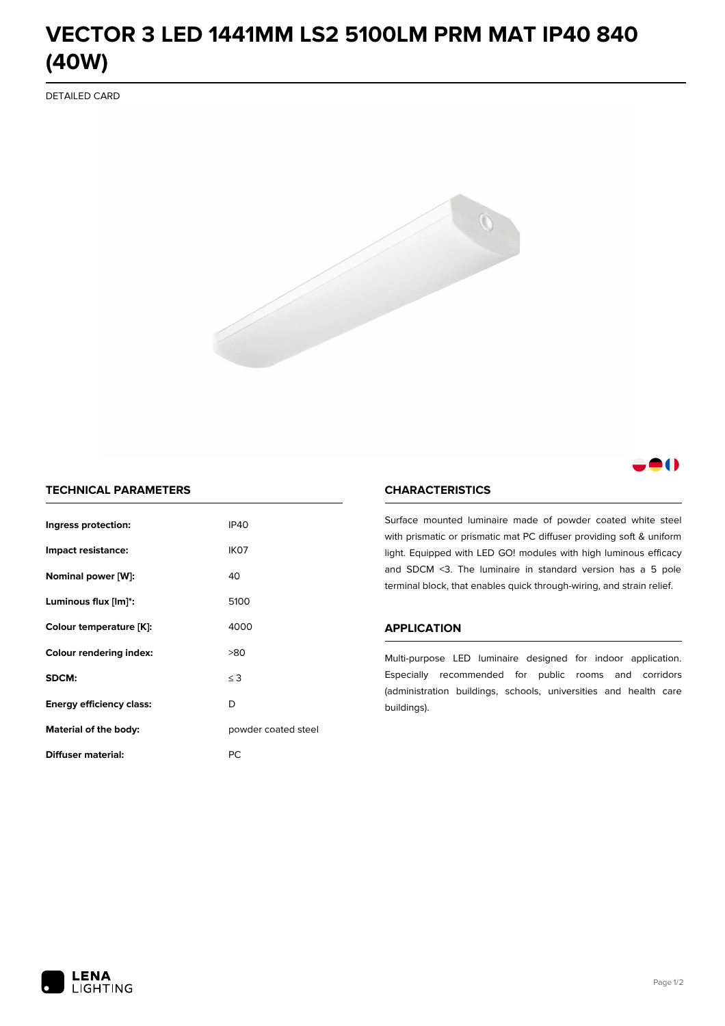# **VECTOR 3 LED 1441MM LS2 5100LM PRM MAT IP40 840 (40W)**

DETAILED CARD



# 80

# **TECHNICAL PARAMETERS**

| Ingress protection:             | <b>IP40</b>         |  |
|---------------------------------|---------------------|--|
| Impact resistance:              | IK <sub>07</sub>    |  |
| Nominal power [W]:              | 40                  |  |
| Luminous flux [lm]*:            | 5100                |  |
| Colour temperature [K]:         | 4000                |  |
| <b>Colour rendering index:</b>  | >80                 |  |
| SDCM:                           | $\leq$ 3            |  |
| <b>Energy efficiency class:</b> | D                   |  |
| Material of the body:           | powder coated steel |  |
| Diffuser material:              | РC                  |  |

### **CHARACTERISTICS**

Surface mounted luminaire made of powder coated white steel with prismatic or prismatic mat PC diffuser providing soft & uniform light. Equipped with LED GO! modules with high luminous efficacy and SDCM <3. The luminaire in standard version has a 5 pole terminal block, that enables quick through-wiring, and strain relief.

#### **APPLICATION**

Multi-purpose LED luminaire designed for indoor application. Especially recommended for public rooms and corridors (administration buildings, schools, universities and health care buildings).